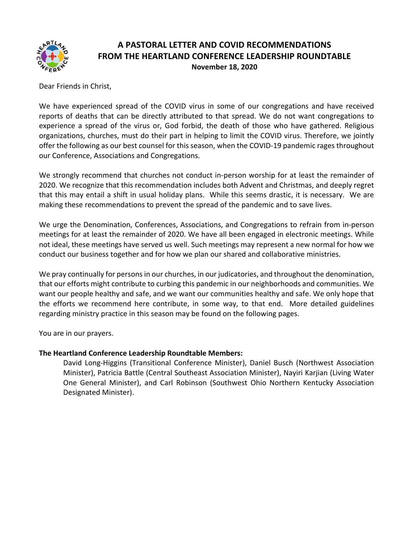

# **A PASTORAL LETTER AND COVID RECOMMENDATIONS FROM THE HEARTLAND CONFERENCE LEADERSHIP ROUNDTABLE November 18, 2020**

Dear Friends in Christ,

We have experienced spread of the COVID virus in some of our congregations and have received reports of deaths that can be directly attributed to that spread. We do not want congregations to experience a spread of the virus or, God forbid, the death of those who have gathered. Religious organizations, churches, must do their part in helping to limit the COVID virus. Therefore, we jointly offer the following as our best counsel for this season, when the COVID-19 pandemic rages throughout our Conference, Associations and Congregations.

We strongly recommend that churches not conduct in-person worship for at least the remainder of 2020. We recognize that this recommendation includes both Advent and Christmas, and deeply regret that this may entail a shift in usual holiday plans. While this seems drastic, it is necessary. We are making these recommendations to prevent the spread of the pandemic and to save lives.

We urge the Denomination, Conferences, Associations, and Congregations to refrain from in-person meetings for at least the remainder of 2020. We have all been engaged in electronic meetings. While not ideal, these meetings have served us well. Such meetings may represent a new normal for how we conduct our business together and for how we plan our shared and collaborative ministries.

We pray continually for persons in our churches, in our judicatories, and throughout the denomination, that our efforts might contribute to curbing this pandemic in our neighborhoods and communities. We want our people healthy and safe, and we want our communities healthy and safe. We only hope that the efforts we recommend here contribute, in some way, to that end. More detailed guidelines regarding ministry practice in this season may be found on the following pages.

You are in our prayers.

# **The Heartland Conference Leadership Roundtable Members:**

David Long-Higgins (Transitional Conference Minister), Daniel Busch (Northwest Association Minister), Patricia Battle (Central Southeast Association Minister), Nayiri Karjian (Living Water One General Minister), and Carl Robinson (Southwest Ohio Northern Kentucky Association Designated Minister).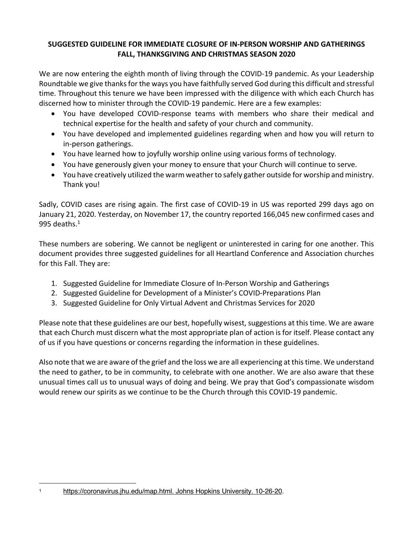# **SUGGESTED GUIDELINE FOR IMMEDIATE CLOSURE OF IN-PERSON WORSHIP AND GATHERINGS FALL, THANKSGIVING AND CHRISTMAS SEASON 2020**

We are now entering the eighth month of living through the COVID-19 pandemic. As your Leadership Roundtable we give thanks for the ways you have faithfully served God during this difficult and stressful time. Throughout this tenure we have been impressed with the diligence with which each Church has discerned how to minister through the COVID-19 pandemic. Here are a few examples:

- You have developed COVID-response teams with members who share their medical and technical expertise for the health and safety of your church and community.
- You have developed and implemented guidelines regarding when and how you will return to in-person gatherings.
- You have learned how to joyfully worship online using various forms of technology.
- You have generously given your money to ensure that your Church will continue to serve.
- You have creatively utilized the warm weather to safely gather outside for worship and ministry. Thank you!

Sadly, COVID cases are rising again. The first case of COVID-19 in US was reported 299 days ago on January 21, 2020. Yesterday, on November 17, the country reported 166,045 new confirmed cases and 995 deaths. $1$ 

These numbers are sobering. We cannot be negligent or uninterested in caring for one another. This document provides three suggested guidelines for all Heartland Conference and Association churches for this Fall. They are:

- 1. Suggested Guideline for Immediate Closure of In-Person Worship and Gatherings
- 2. Suggested Guideline for Development of a Minister's COVID-Preparations Plan
- 3. Suggested Guideline for Only Virtual Advent and Christmas Services for 2020

Please note that these guidelines are our best, hopefully wisest, suggestions at this time. We are aware that each Church must discern what the most appropriate plan of action is for itself. Please contact any of us if you have questions or concerns regarding the information in these guidelines.

Also note that we are aware of the grief and the loss we are all experiencing at this time. We understand the need to gather, to be in community, to celebrate with one another. We are also aware that these unusual times call us to unusual ways of doing and being. We pray that God's compassionate wisdom would renew our spirits as we continue to be the Church through this COVID-19 pandemic.

<sup>1</sup> https://coronavirus.jhu.edu/map.html. Johns Hopkins University. 10-26-20.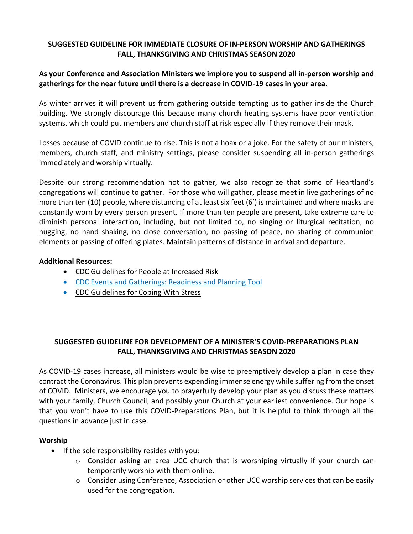# **SUGGESTED GUIDELINE FOR IMMEDIATE CLOSURE OF IN-PERSON WORSHIP AND GATHERINGS FALL, THANKSGIVING AND CHRISTMAS SEASON 2020**

# **As your Conference and Association Ministers we implore you to suspend all in-person worship and gatherings for the near future until there is a decrease in COVID-19 cases in your area.**

As winter arrives it will prevent us from gathering outside tempting us to gather inside the Church building. We strongly discourage this because many church heating systems have poor ventilation systems, which could put members and church staff at risk especially if they remove their mask.

Losses because of COVID continue to rise. This is not a hoax or a joke. For the safety of our ministers, members, church staff, and ministry settings, please consider suspending all in-person gatherings immediately and worship virtually.

Despite our strong recommendation not to gather, we also recognize that some of Heartland's congregations will continue to gather. For those who will gather, please meet in live gatherings of no more than ten (10) people, where distancing of at least six feet (6') is maintained and where masks are constantly worn by every person present. If more than ten people are present, take extreme care to diminish personal interaction, including, but not limited to, no singing or liturgical recitation, no hugging, no hand shaking, no close conversation, no passing of peace, no sharing of communion elements or passing of offering plates. Maintain patterns of distance in arrival and departure.

#### **Additional Resources:**

- CDC Guidelines for People at Increased Risk
- CDC Events and Gatherings: Readiness and Planning Tool
- CDC Guidelines for Coping With Stress

# **SUGGESTED GUIDELINE FOR DEVELOPMENT OF A MINISTER'S COVID-PREPARATIONS PLAN FALL, THANKSGIVING AND CHRISTMAS SEASON 2020**

As COVID-19 cases increase, all ministers would be wise to preemptively develop a plan in case they contract the Coronavirus. This plan prevents expending immense energy while suffering from the onset of COVID. Ministers, we encourage you to prayerfully develop your plan as you discuss these matters with your family, Church Council, and possibly your Church at your earliest convenience. Our hope is that you won't have to use this COVID-Preparations Plan, but it is helpful to think through all the questions in advance just in case.

# **Worship**

- If the sole responsibility resides with you:
	- $\circ$  Consider asking an area UCC church that is worshiping virtually if your church can temporarily worship with them online.
	- o Consider using Conference, Association or other UCC worship services that can be easily used for the congregation.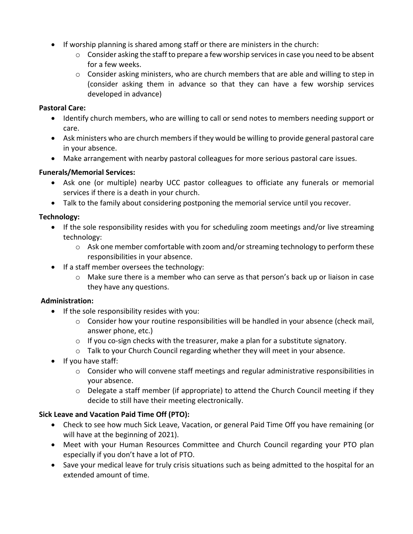- If worship planning is shared among staff or there are ministers in the church:
	- $\circ$  Consider asking the staff to prepare a few worship services in case you need to be absent for a few weeks.
	- $\circ$  Consider asking ministers, who are church members that are able and willing to step in (consider asking them in advance so that they can have a few worship services developed in advance)

#### **Pastoral Care:**

- Identify church members, who are willing to call or send notes to members needing support or care.
- Ask ministers who are church members if they would be willing to provide general pastoral care in your absence.
- Make arrangement with nearby pastoral colleagues for more serious pastoral care issues.

# **Funerals/Memorial Services:**

- Ask one (or multiple) nearby UCC pastor colleagues to officiate any funerals or memorial services if there is a death in your church.
- Talk to the family about considering postponing the memorial service until you recover.

# **Technology:**

- If the sole responsibility resides with you for scheduling zoom meetings and/or live streaming technology:
	- $\circ$  Ask one member comfortable with zoom and/or streaming technology to perform these responsibilities in your absence.
- If a staff member oversees the technology:
	- o Make sure there is a member who can serve as that person's back up or liaison in case they have any questions.

# **Administration:**

- If the sole responsibility resides with you:
	- o Consider how your routine responsibilities will be handled in your absence (check mail, answer phone, etc.)
	- o If you co-sign checks with the treasurer, make a plan for a substitute signatory.
	- o Talk to your Church Council regarding whether they will meet in your absence.
- If you have staff:
	- $\circ$  Consider who will convene staff meetings and regular administrative responsibilities in your absence.
	- $\circ$  Delegate a staff member (if appropriate) to attend the Church Council meeting if they decide to still have their meeting electronically.

# **Sick Leave and Vacation Paid Time Off (PTO):**

- Check to see how much Sick Leave, Vacation, or general Paid Time Off you have remaining (or will have at the beginning of 2021).
- Meet with your Human Resources Committee and Church Council regarding your PTO plan especially if you don't have a lot of PTO.
- Save your medical leave for truly crisis situations such as being admitted to the hospital for an extended amount of time.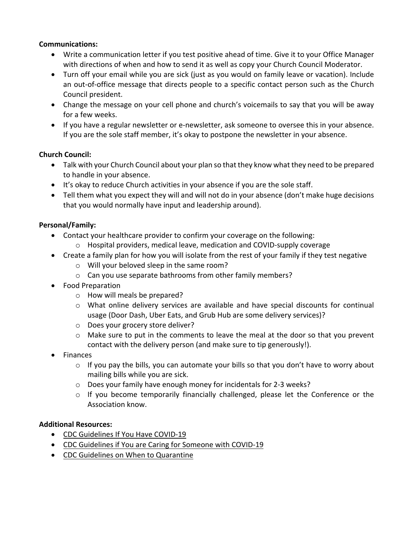#### **Communications:**

- Write a communication letter if you test positive ahead of time. Give it to your Office Manager with directions of when and how to send it as well as copy your Church Council Moderator.
- Turn off your email while you are sick (just as you would on family leave or vacation). Include an out-of-office message that directs people to a specific contact person such as the Church Council president.
- Change the message on your cell phone and church's voicemails to say that you will be away for a few weeks.
- If you have a regular newsletter or e-newsletter, ask someone to oversee this in your absence. If you are the sole staff member, it's okay to postpone the newsletter in your absence.

# **Church Council:**

- Talk with your Church Council about your plan so that they know what they need to be prepared to handle in your absence.
- It's okay to reduce Church activities in your absence if you are the sole staff.
- Tell them what you expect they will and will not do in your absence (don't make huge decisions that you would normally have input and leadership around).

# **Personal/Family:**

- Contact your healthcare provider to confirm your coverage on the following:
	- $\circ$  Hospital providers, medical leave, medication and COVID-supply coverage
- Create a family plan for how you will isolate from the rest of your family if they test negative
	- o Will your beloved sleep in the same room?
	- o Can you use separate bathrooms from other family members?
- Food Preparation
	- o How will meals be prepared?
	- $\circ$  What online delivery services are available and have special discounts for continual usage (Door Dash, Uber Eats, and Grub Hub are some delivery services)?
	- o Does your grocery store deliver?
	- $\circ$  Make sure to put in the comments to leave the meal at the door so that you prevent contact with the delivery person (and make sure to tip generously!).
- Finances
	- $\circ$  If you pay the bills, you can automate your bills so that you don't have to worry about mailing bills while you are sick.
	- o Does your family have enough money for incidentals for 2-3 weeks?
	- $\circ$  If you become temporarily financially challenged, please let the Conference or the Association know.

# **Additional Resources:**

- CDC Guidelines If You Have COVID-19
- CDC Guidelines if You are Caring for Someone with COVID-19
- CDC Guidelines on When to Quarantine